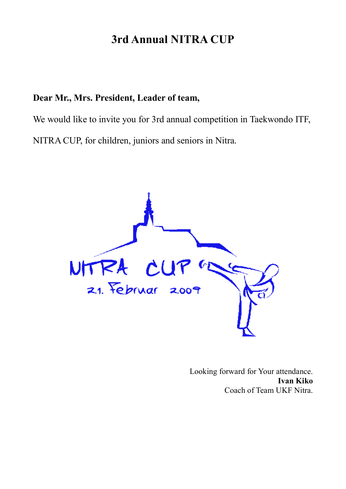# **3rd Annual NITRA CUP**

# **Dear Mr., Mrs. President, Leader of team,**

We would like to invite you for 3rd annual competition in Taekwondo ITF, NITRA CUP, for children, juniors and seniors in Nitra.



Looking forward for Your attendance. **Ivan Kiko**  Coach of Team UKF Nitra.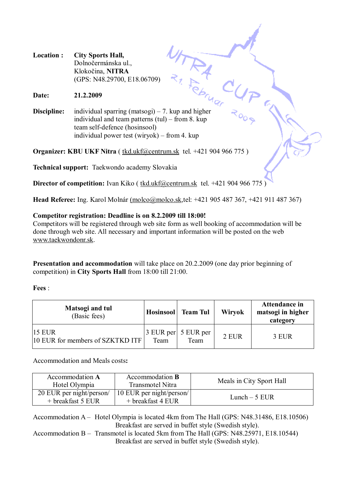**Location : City Sports Hall,**  Dolnočermánska ul., Klokočina, **NITRA** (GPS: N48.29700, E18.06709)

**Date: 21.2.2009** 

**Discipline:** individual sparring (matsogi) – 7. kup and higher individual and team patterns (tul) – from 8. kup team self-defence (hosinsool) individual power test (wiryok) – from 4. kup

**Organizer: KBU UKF Nitra** ( [tkd.ukf@centrum.sk](mailto:tkd.ukf@centrum.sk) tel. +421 904 966 775 )

**Technical support:** Taekwondo academy Slovakia

**Director of competition:** Ivan Kiko (tkd.ukf@centrum.sk tel. +421 904 966 775)

**Head Referee:** Ing. Karol Molnár [\(molco@molco.sk](mailto:(molco@molco.sk),tel: +421 905 487 367, +421 911 487 367)

#### **Competitor registration: Deadline is on 8.2.2009 till 18:00!**

Competitors will be registered through web site form as well booking of accommodation will be done through web site. All necessary and important information will be posted on the web [www.taekwondonr.sk.](http://www.taekwondonr.sk)

**Presentation and accommodation** will take place on 20.2.2009 (one day prior beginning of competition) in **City Sports Hall** from 18:00 till 21:00.

**Fees** :

| Matsogi and tul<br>(Basic fees)                        | <b>Hosinsool</b> | <b>Team Tul</b>                 | Wiryok | <b>Attendance in</b><br>matsogi in higher<br>category |
|--------------------------------------------------------|------------------|---------------------------------|--------|-------------------------------------------------------|
| $ 15 \text{ EUR} $<br>10 EUR for members of SZKTKD ITF | Team             | $3$ EUR per $5$ EUR per<br>Team | 2 EUR  | 3 EUR                                                 |

Accommodation and Meals costs**:** 

| Accommodation A<br>Hotel Olympia                | Accommodation <b>B</b><br><b>Transmotel Nitra</b> | Meals in City Sport Hall |
|-------------------------------------------------|---------------------------------------------------|--------------------------|
| 20 EUR per night/person/<br>$+$ breakfast 5 EUR | 10 EUR per night/person/<br>$+$ breakfast 4 EUR   | Lunch $-5$ EUR           |

Accommodation A – Hotel Olympia is located 4km from The Hall (GPS: N48.31486, E18.10506) Breakfast are served in buffet style (Swedish style).

Accommodation B – Transmotel is located 5km from The Hall (GPS: N48.25971, E18.10544) Breakfast are served in buffet style (Swedish style).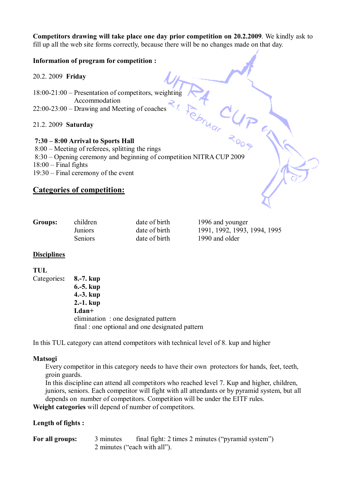**Competitors drawing will take place one day prior competition on 20.2.2009**. We kindly ask to fill up all the web site forms correctly, because there will be no changes made on that day.

#### **Information of program for competition :**

20.2. 2009 **Friday** 

18:00-21:00 – Presentation of competitors, weighting Accommodation 22:00-23:00 – Drawing and Meeting of coaches

21.2. 2009 **Saturday** 

#### **7:30 – 8:00 Arrival to Sports Hall**

A CUP 8:00 – Meeting of referees, splitting the rings 8:30 – Opening ceremony and beginning of competition NITRA CUP 2009  $18:00$  – Final fights 19:30 – Final ceremony of the event

#### **Categories of competition:**

| Groups: | children       | date of birth | 1996 and younger             |
|---------|----------------|---------------|------------------------------|
|         | Juniors        | date of birth | 1991, 1992, 1993, 1994, 1995 |
|         | <b>Seniors</b> | date of birth | 1990 and older               |

#### **Disciplines**

#### **TUL**

| final : one optional and one designated pattern |
|-------------------------------------------------|
|                                                 |

In this TUL category can attend competitors with technical level of 8. kup and higher

#### **Matsogi**

Every competitor in this category needs to have their own protectors for hands, feet, teeth, groin guards.

In this discipline can attend all competitors who reached level 7. Kup and higher, children, juniors, seniors. Each competitor will fight with all attendants or by pyramid system, but all depends on number of competitors. Competition will be under the EITF rules.

**Weight categories** will depend of number of competitors.

#### **Length of fights :**

**For all groups:** 3 minutes final fight: 2 times 2 minutes ("pyramid system") 2 minutes ("each with all").